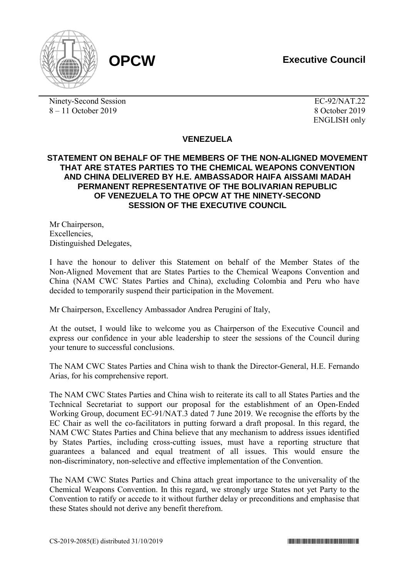



Ninety-Second Session EC-92/NAT.22 8 – 11 October 2019 8 October 2019

ENGLISH only

## **VENEZUELA**

## **STATEMENT ON BEHALF OF THE MEMBERS OF THE NON-ALIGNED MOVEMENT THAT ARE STATES PARTIES TO THE CHEMICAL WEAPONS CONVENTION AND CHINA DELIVERED BY H.E. AMBASSADOR HAIFA AISSAMI MADAH PERMANENT REPRESENTATIVE OF THE BOLIVARIAN REPUBLIC OF VENEZUELA TO THE OPCW AT THE NINETY-SECOND SESSION OF THE EXECUTIVE COUNCIL**

Mr Chairperson, **Excellencies** Distinguished Delegates,

I have the honour to deliver this Statement on behalf of the Member States of the Non-Aligned Movement that are States Parties to the Chemical Weapons Convention and China (NAM CWC States Parties and China), excluding Colombia and Peru who have decided to temporarily suspend their participation in the Movement.

Mr Chairperson, Excellency Ambassador Andrea Perugini of Italy,

At the outset, I would like to welcome you as Chairperson of the Executive Council and express our confidence in your able leadership to steer the sessions of the Council during your tenure to successful conclusions.

The NAM CWC States Parties and China wish to thank the Director-General, H.E. Fernando Arias, for his comprehensive report.

The NAM CWC States Parties and China wish to reiterate its call to all States Parties and the Technical Secretariat to support our proposal for the establishment of an Open-Ended Working Group, document EC-91/NAT.3 dated 7 June 2019. We recognise the efforts by the EC Chair as well the co-facilitators in putting forward a draft proposal. In this regard, the NAM CWC States Parties and China believe that any mechanism to address issues identified by States Parties, including cross-cutting issues, must have a reporting structure that guarantees a balanced and equal treatment of all issues. This would ensure the non-discriminatory, non-selective and effective implementation of the Convention.

The NAM CWC States Parties and China attach great importance to the universality of the Chemical Weapons Convention. In this regard, we strongly urge States not yet Party to the Convention to ratify or accede to it without further delay or preconditions and emphasise that these States should not derive any benefit therefrom.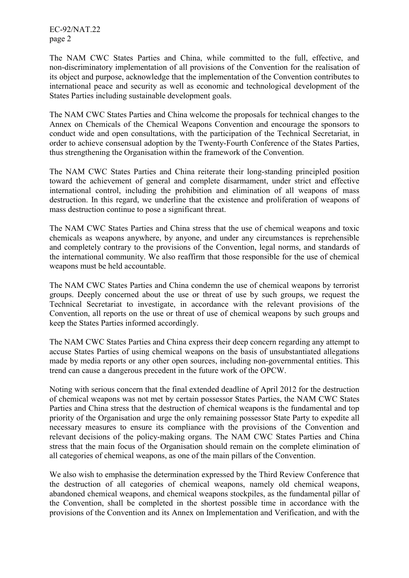EC-92/NAT.22 page 2

The NAM CWC States Parties and China, while committed to the full, effective, and non-discriminatory implementation of all provisions of the Convention for the realisation of its object and purpose, acknowledge that the implementation of the Convention contributes to international peace and security as well as economic and technological development of the States Parties including sustainable development goals.

The NAM CWC States Parties and China welcome the proposals for technical changes to the Annex on Chemicals of the Chemical Weapons Convention and encourage the sponsors to conduct wide and open consultations, with the participation of the Technical Secretariat, in order to achieve consensual adoption by the Twenty-Fourth Conference of the States Parties, thus strengthening the Organisation within the framework of the Convention.

The NAM CWC States Parties and China reiterate their long-standing principled position toward the achievement of general and complete disarmament, under strict and effective international control, including the prohibition and elimination of all weapons of mass destruction. In this regard, we underline that the existence and proliferation of weapons of mass destruction continue to pose a significant threat.

The NAM CWC States Parties and China stress that the use of chemical weapons and toxic chemicals as weapons anywhere, by anyone, and under any circumstances is reprehensible and completely contrary to the provisions of the Convention, legal norms, and standards of the international community. We also reaffirm that those responsible for the use of chemical weapons must be held accountable.

The NAM CWC States Parties and China condemn the use of chemical weapons by terrorist groups. Deeply concerned about the use or threat of use by such groups, we request the Technical Secretariat to investigate, in accordance with the relevant provisions of the Convention, all reports on the use or threat of use of chemical weapons by such groups and keep the States Parties informed accordingly.

The NAM CWC States Parties and China express their deep concern regarding any attempt to accuse States Parties of using chemical weapons on the basis of unsubstantiated allegations made by media reports or any other open sources, including non-governmental entities. This trend can cause a dangerous precedent in the future work of the OPCW.

Noting with serious concern that the final extended deadline of April 2012 for the destruction of chemical weapons was not met by certain possessor States Parties, the NAM CWC States Parties and China stress that the destruction of chemical weapons is the fundamental and top priority of the Organisation and urge the only remaining possessor State Party to expedite all necessary measures to ensure its compliance with the provisions of the Convention and relevant decisions of the policy-making organs. The NAM CWC States Parties and China stress that the main focus of the Organisation should remain on the complete elimination of all categories of chemical weapons, as one of the main pillars of the Convention.

We also wish to emphasise the determination expressed by the Third Review Conference that the destruction of all categories of chemical weapons, namely old chemical weapons, abandoned chemical weapons, and chemical weapons stockpiles, as the fundamental pillar of the Convention, shall be completed in the shortest possible time in accordance with the provisions of the Convention and its Annex on Implementation and Verification, and with the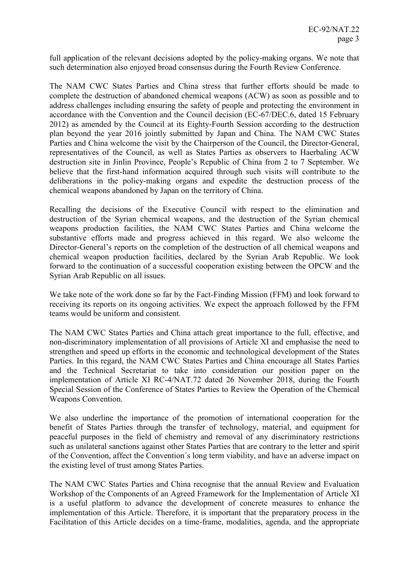full application of the relevant decisions adopted by the policy-making organs. We note that such determination also enjoyed broad consensus during the Fourth Review Conference.

The NAM CWC States Parties and China stress that further efforts should be made to complete the destruction of abandoned chemical weapons (ACW) as soon as possible and to address challenges including ensuring the safety of people and protecting the environment in accordance with the Convention and the Council decision (EC-67/DEC.6, dated 15 February 2012) as amended by the Council at its Eighty-Fourth Session according to the destruction plan beyond the year 2016 jointly submitted by Japan and China. The NAM CWC States Parties and China welcome the visit by the Chairperson of the Council, the Director-General, representatives of the Council, as well as States Parties as observers to Haerbaling ACW destruction site in Jinlin Province, People's Republic of China from 2 to 7 September. We believe that the first-hand information acquired through such visits will contribute to the deliberations in the policy-making organs and expedite the destruction process of the chemical weapons abandoned by Japan on the territory of China.

Recalling the decisions of the Executive Council with respect to the elimination and destruction of the Syrian chemical weapons, and the destruction of the Syrian chemical weapons production facilities, the NAM CWC States Parties and China welcome the substantive efforts made and progress achieved in this regard. We also welcome the Director-General's reports on the completion of the destruction of all chemical weapons and chemical weapon production facilities, declared by the Syrian Arab Republic. We look forward to the continuation of a successful cooperation existing between the OPCW and the Syrian Arab Republic on all issues.

We take note of the work done so far by the Fact-Finding Mission (FFM) and look forward to receiving its reports on its ongoing activities. We expect the approach followed by the FFM teams would be uniform and consistent.

The NAM CWC States Parties and China attach great importance to the full, effective, and non-discriminatory implementation of all provisions of Article XI and emphasise the need to strengthen and speed up efforts in the economic and technological development of the States Parties. In this regard, the NAM CWC States Parties and China encourage all States Parties and the Technical Secretariat to take into consideration our position paper on the implementation of Article XI RC-4/NAT.72 dated 26 November 2018, during the Fourth Special Session of the Conference of States Parties to Review the Operation of the Chemical Weapons Convention.

We also underline the importance of the promotion of international cooperation for the benefit of States Parties through the transfer of technology, material, and equipment for peaceful purposes in the field of chemistry and removal of any discriminatory restrictions such as unilateral sanctions against other States Parties that are contrary to the letter and spirit of the Convention, affect the Convention´s long term viability, and have an adverse impact on the existing level of trust among States Parties.

The NAM CWC States Parties and China recognise that the annual Review and Evaluation Workshop of the Components of an Agreed Framework for the Implementation of Article XI is a useful platform to advance the development of concrete measures to enhance the implementation of this Article. Therefore, it is important that the preparatory process in the Facilitation of this Article decides on a time-frame, modalities, agenda, and the appropriate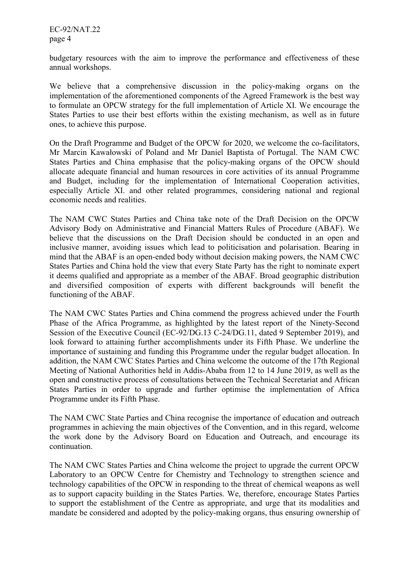EC-92/NAT.22 page 4

budgetary resources with the aim to improve the performance and effectiveness of these annual workshops.

We believe that a comprehensive discussion in the policy-making organs on the implementation of the aforementioned components of the Agreed Framework is the best way to formulate an OPCW strategy for the full implementation of Article XI. We encourage the States Parties to use their best efforts within the existing mechanism, as well as in future ones, to achieve this purpose.

On the Draft Programme and Budget of the OPCW for 2020, we welcome the co-facilitators, Mr Marcin Kawałowski of Poland and Mr Daniel Baptista of Portugal. The NAM CWC States Parties and China emphasise that the policy-making organs of the OPCW should allocate adequate financial and human resources in core activities of its annual Programme and Budget, including for the implementation of International Cooperation activities, especially Article XI. and other related programmes, considering national and regional economic needs and realities.

The NAM CWC States Parties and China take note of the Draft Decision on the OPCW Advisory Body on Administrative and Financial Matters Rules of Procedure (ABAF). We believe that the discussions on the Draft Decision should be conducted in an open and inclusive manner, avoiding issues which lead to politicisation and polarisation. Bearing in mind that the ABAF is an open-ended body without decision making powers, the NAM CWC States Parties and China hold the view that every State Party has the right to nominate expert it deems qualified and appropriate as a member of the ABAF. Broad geographic distribution and diversified composition of experts with different backgrounds will benefit the functioning of the ABAF.

The NAM CWC States Parties and China commend the progress achieved under the Fourth Phase of the Africa Programme, as highlighted by the latest report of the Ninety-Second Session of the Executive Council (EC-92/DG.13 C-24/DG.11, dated 9 September 2019), and look forward to attaining further accomplishments under its Fifth Phase. We underline the importance of sustaining and funding this Programme under the regular budget allocation. In addition, the NAM CWC States Parties and China welcome the outcome of the 17th Regional Meeting of National Authorities held in Addis-Ababa from 12 to 14 June 2019, as well as the open and constructive process of consultations between the Technical Secretariat and African States Parties in order to upgrade and further optimise the implementation of Africa Programme under its Fifth Phase.

The NAM CWC State Parties and China recognise the importance of education and outreach programmes in achieving the main objectives of the Convention, and in this regard, welcome the work done by the Advisory Board on Education and Outreach, and encourage its continuation.

The NAM CWC States Parties and China welcome the project to upgrade the current OPCW Laboratory to an OPCW Centre for Chemistry and Technology to strengthen science and technology capabilities of the OPCW in responding to the threat of chemical weapons as well as to support capacity building in the States Parties. We, therefore, encourage States Parties to support the establishment of the Centre as appropriate, and urge that its modalities and mandate be considered and adopted by the policy-making organs, thus ensuring ownership of